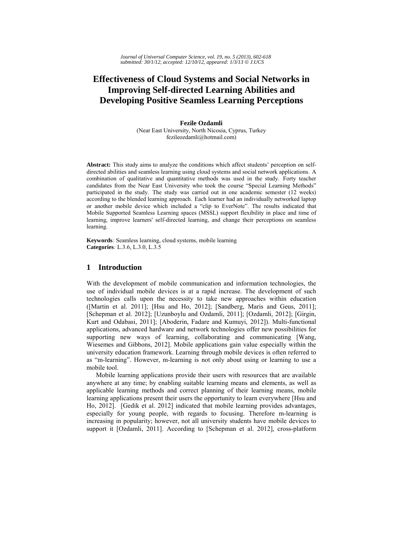# **Effectiveness of Cloud Systems and Social Networks in Improving Self-directed Learning Abilities and Developing Positive Seamless Learning Perceptions**

**Fezile Ozdamli**  (Near East University, North Nicosia, Cyprus, Turkey fezileozdamli@hotmail.com)

**Abstract:** This study aims to analyze the conditions which affect students' perception on selfdirected abilities and seamless learning using cloud systems and social network applications. A combination of qualitative and quantitative methods was used in the study. Forty teacher candidates from the Near East University who took the course "Special Learning Methods" participated in the study. The study was carried out in one academic semester (12 weeks) according to the blended learning approach. Each learner had an individually networked laptop or another mobile device which included a "clip to EverNote". The results indicated that Mobile Supported Seamless Learning spaces (MSSL) support flexibility in place and time of learning, improve learners' self-directed learning, and change their perceptions on seamless learning.

**Keywords***:* Seamless learning, cloud systems, mobile learning **Categories***:* L.3.6, L.3.0, L.3.5

# **1 Introduction**

With the development of mobile communication and information technologies, the use of individual mobile devices is at a rapid increase. The development of such technologies calls upon the necessity to take new approaches within education ([Martin et al. 2011]; [Hsu and Ho, 2012]; [Sandberg, Maris and Geus, 2011]; [Schepman et al. 2012]; [Uzunboylu and Ozdamli, 2011]; [Ozdamli, 2012]; [Girgin, Kurt and Odabasi, 2011]; [Aboderin, Fadare and Kumuyi, 2012]). Multi-functional applications, advanced hardware and network technologies offer new possibilities for supporting new ways of learning, collaborating and communicating [Wang, Wiesemes and Gibbons, 2012]. Mobile applications gain value especially within the university education framework. Learning through mobile devices is often referred to as "m-learning". However, m-learning is not only about using or learning to use a mobile tool.

Mobile learning applications provide their users with resources that are available anywhere at any time; by enabling suitable learning means and elements, as well as applicable learning methods and correct planning of their learning means, mobile learning applications present their users the opportunity to learn everywhere [Hsu and Ho, 2012]. [Gedik et al. 2012] indicated that mobile learning provides advantages, especially for young people, with regards to focusing. Therefore m-learning is increasing in popularity; however, not all university students have mobile devices to support it [Ozdamli, 2011]. According to [Schepman et al. 2012], cross-platform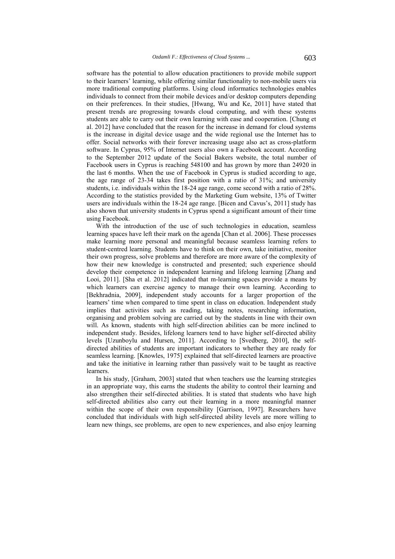software has the potential to allow education practitioners to provide mobile support to their learners' learning, while offering similar functionality to non-mobile users via more traditional computing platforms. Using cloud informatics technologies enables individuals to connect from their mobile devices and/or desktop computers depending on their preferences. In their studies, [Hwang, Wu and Ke, 2011] have stated that present trends are progressing towards cloud computing, and with these systems students are able to carry out their own learning with ease and cooperation. [Chung et al. 2012] have concluded that the reason for the increase in demand for cloud systems is the increase in digital device usage and the wide regional use the Internet has to offer. Social networks with their forever increasing usage also act as cross-platform software. In Cyprus, 95% of Internet users also own a Facebook account. According to the September 2012 update of the Social Bakers website, the total number of Facebook users in Cyprus is reaching 548100 and has grown by more than 24920 in the last 6 months. When the use of Facebook in Cyprus is studied according to age, the age range of 23-34 takes first position with a ratio of 31%; and university students, i.e. individuals within the 18-24 age range, come second with a ratio of 28%. According to the statistics provided by the Marketing Gum website, 13% of Twitter users are individuals within the 18-24 age range. [Bicen and Cavus's, 2011] study has also shown that university students in Cyprus spend a significant amount of their time using Facebook.

With the introduction of the use of such technologies in education, seamless learning spaces have left their mark on the agenda [Chan et al. 2006]. These processes make learning more personal and meaningful because seamless learning refers to student-centred learning. Students have to think on their own, take initiative, monitor their own progress, solve problems and therefore are more aware of the complexity of how their new knowledge is constructed and presented; such experience should develop their competence in independent learning and lifelong learning [Zhang and Looi, 2011]. [Sha et al. 2012] indicated that m-learning spaces provide a means by which learners can exercise agency to manage their own learning. According to [Bekhradnia, 2009], independent study accounts for a larger proportion of the learners' time when compared to time spent in class on education. Independent study implies that activities such as reading, taking notes, researching information, organising and problem solving are carried out by the students in line with their own will. As known, students with high self-direction abilities can be more inclined to independent study. Besides, lifelong learners tend to have higher self-directed ability levels [Uzunboylu and Hursen, 2011]. According to [Svedberg, 2010], the selfdirected abilities of students are important indicators to whether they are ready for seamless learning. [Knowles, 1975] explained that self-directed learners are proactive and take the initiative in learning rather than passively wait to be taught as reactive learners.

In his study, [Graham, 2003] stated that when teachers use the learning strategies in an appropriate way, this earns the students the ability to control their learning and also strengthen their self-directed abilities. It is stated that students who have high self-directed abilities also carry out their learning in a more meaningful manner within the scope of their own responsibility [Garrison, 1997]. Researchers have concluded that individuals with high self-directed ability levels are more willing to learn new things, see problems, are open to new experiences, and also enjoy learning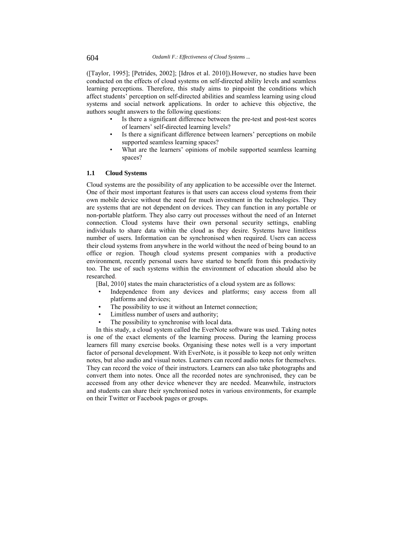([Taylor, 1995]; [Petrides, 2002]; [Idros et al. 2010]).However, no studies have been conducted on the effects of cloud systems on self-directed ability levels and seamless learning perceptions. Therefore, this study aims to pinpoint the conditions which affect students' perception on self-directed abilities and seamless learning using cloud systems and social network applications. In order to achieve this objective, the authors sought answers to the following questions:

- Is there a significant difference between the pre-test and post-test scores of learners' self-directed learning levels?
- Is there a significant difference between learners' perceptions on mobile supported seamless learning spaces?
- What are the learners' opinions of mobile supported seamless learning spaces?

## **1.1 Cloud Systems**

Cloud systems are the possibility of any application to be accessible over the Internet. One of their most important features is that users can access cloud systems from their own mobile device without the need for much investment in the technologies. They are systems that are not dependent on devices. They can function in any portable or non-portable platform. They also carry out processes without the need of an Internet connection. Cloud systems have their own personal security settings, enabling individuals to share data within the cloud as they desire. Systems have limitless number of users. Information can be synchronised when required. Users can access their cloud systems from anywhere in the world without the need of being bound to an office or region. Though cloud systems present companies with a productive environment, recently personal users have started to benefit from this productivity too. The use of such systems within the environment of education should also be researched.

[Bal, 2010] states the main characteristics of a cloud system are as follows:

- Independence from any devices and platforms; easy access from all platforms and devices;
- The possibility to use it without an Internet connection;
- Limitless number of users and authority;
- The possibility to synchronise with local data.

In this study, a cloud system called the EverNote software was used. Taking notes is one of the exact elements of the learning process. During the learning process learners fill many exercise books. Organising these notes well is a very important factor of personal development. With EverNote, is it possible to keep not only written notes, but also audio and visual notes. Learners can record audio notes for themselves. They can record the voice of their instructors. Learners can also take photographs and convert them into notes. Once all the recorded notes are synchronised, they can be accessed from any other device whenever they are needed. Meanwhile, instructors and students can share their synchronised notes in various environments, for example on their Twitter or Facebook pages or groups.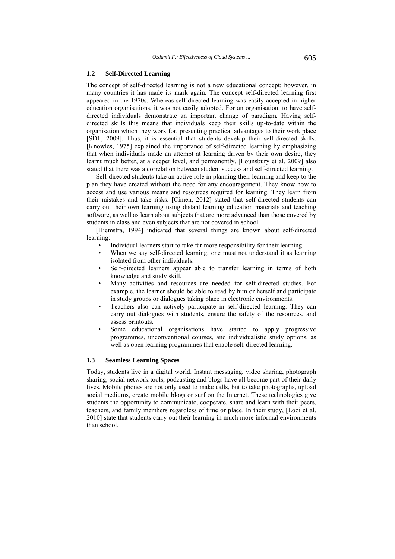#### **1.2 Self-Directed Learning**

The concept of self-directed learning is not a new educational concept; however, in many countries it has made its mark again. The concept self-directed learning first appeared in the 1970s. Whereas self-directed learning was easily accepted in higher education organisations, it was not easily adopted. For an organisation, to have selfdirected individuals demonstrate an important change of paradigm. Having selfdirected skills this means that individuals keep their skills up-to-date within the organisation which they work for, presenting practical advantages to their work place [SDL, 2009]. Thus, it is essential that students develop their self-directed skills. [Knowles, 1975] explained the importance of self-directed learning by emphasizing that when individuals made an attempt at learning driven by their own desire, they learnt much better, at a deeper level, and permanently. [Lounsbury et al. 2009] also stated that there was a correlation between student success and self-directed learning.

Self-directed students take an active role in planning their learning and keep to the plan they have created without the need for any encouragement. They know how to access and use various means and resources required for learning. They learn from their mistakes and take risks. [Cimen, 2012] stated that self-directed students can carry out their own learning using distant learning education materials and teaching software, as well as learn about subjects that are more advanced than those covered by students in class and even subjects that are not covered in school.

[Hiemstra, 1994] indicated that several things are known about self-directed learning:

- Individual learners start to take far more responsibility for their learning.
- When we say self-directed learning, one must not understand it as learning isolated from other individuals.
- Self-directed learners appear able to transfer learning in terms of both knowledge and study skill.
- Many activities and resources are needed for self-directed studies. For example, the learner should be able to read by him or herself and participate in study groups or dialogues taking place in electronic environments.
- Teachers also can actively participate in self-directed learning. They can carry out dialogues with students, ensure the safety of the resources, and assess printouts.
- Some educational organisations have started to apply progressive programmes, unconventional courses, and individualistic study options, as well as open learning programmes that enable self-directed learning.

# **1.3 Seamless Learning Spaces**

Today, students live in a digital world. Instant messaging, video sharing, photograph sharing, social network tools, podcasting and blogs have all become part of their daily lives. Mobile phones are not only used to make calls, but to take photographs, upload social mediums, create mobile blogs or surf on the Internet. These technologies give students the opportunity to communicate, cooperate, share and learn with their peers, teachers, and family members regardless of time or place. In their study, [Looi et al. 2010] state that students carry out their learning in much more informal environments than school.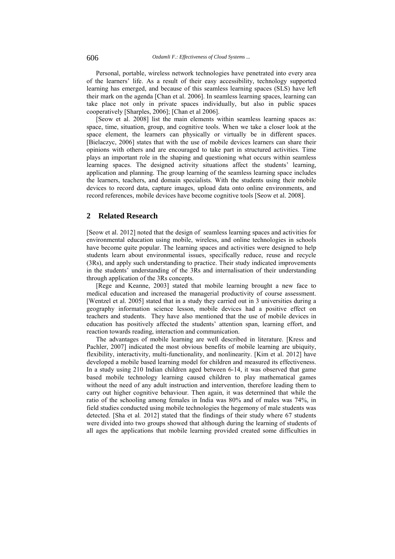Personal, portable, wireless network technologies have penetrated into every area of the learners' life. As a result of their easy accessibility, technology supported learning has emerged, and because of this seamless learning spaces (SLS) have left their mark on the agenda [Chan et al. 2006]. In seamless learning spaces, learning can take place not only in private spaces individually, but also in public spaces cooperatively [Sharples, 2006]; [Chan et al 2006].

[Seow et al. 2008] list the main elements within seamless learning spaces as: space, time, situation, group, and cognitive tools. When we take a closer look at the space element, the learners can physically or virtually be in different spaces. [Bielaczyc, 2006] states that with the use of mobile devices learners can share their opinions with others and are encouraged to take part in structured activities. Time plays an important role in the shaping and questioning what occurs within seamless learning spaces. The designed activity situations affect the students' learning, application and planning. The group learning of the seamless learning space includes the learners, teachers, and domain specialists. With the students using their mobile devices to record data, capture images, upload data onto online environments, and record references, mobile devices have become cognitive tools [Seow et al. 2008].

# **2 Related Research**

[Seow et al. 2012] noted that the design of seamless learning spaces and activities for environmental education using mobile, wireless, and online technologies in schools have become quite popular. The learning spaces and activities were designed to help students learn about environmental issues, specifically reduce, reuse and recycle (3Rs), and apply such understanding to practice. Their study indicated improvements in the students' understanding of the 3Rs and internalisation of their understanding through application of the 3Rs concepts.

[Rege and Keanne, 2003] stated that mobile learning brought a new face to medical education and increased the managerial productivity of course assessment. [Wentzel et al. 2005] stated that in a study they carried out in 3 universities during a geography information science lesson, mobile devices had a positive effect on teachers and students. They have also mentioned that the use of mobile devices in education has positively affected the students' attention span, learning effort, and reaction towards reading, interaction and communication.

The advantages of mobile learning are well described in literature. [Kress and Pachler, 2007] indicated the most obvious benefits of mobile learning are ubiquity, flexibility, interactivity, multi-functionality, and nonlinearity. [Kim et al. 2012] have developed a mobile based learning model for children and measured its effectiveness. In a study using 210 Indian children aged between 6-14, it was observed that game based mobile technology learning caused children to play mathematical games without the need of any adult instruction and intervention, therefore leading them to carry out higher cognitive behaviour. Then again, it was determined that while the ratio of the schooling among females in India was 80% and of males was 74%, in field studies conducted using mobile technologies the hegemony of male students was detected. [Sha et al*.* 2012] stated that the findings of their study where 67 students were divided into two groups showed that although during the learning of students of all ages the applications that mobile learning provided created some difficulties in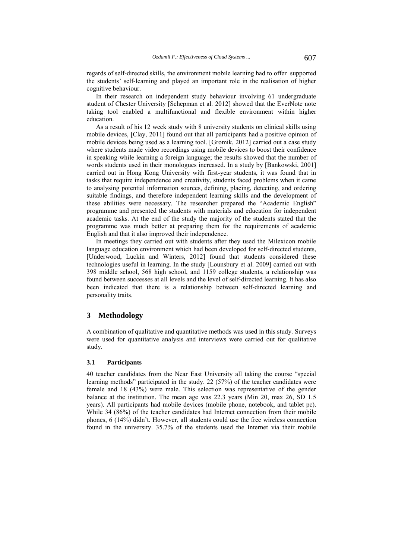regards of self-directed skills, the environment mobile learning had to offer supported the students' self-learning and played an important role in the realisation of higher cognitive behaviour.

In their research on independent study behaviour involving 61 undergraduate student of Chester University [Schepman et al. 2012] showed that the EverNote note taking tool enabled a multifunctional and flexible environment within higher education.

As a result of his 12 week study with 8 university students on clinical skills using mobile devices, [Clay, 2011] found out that all participants had a positive opinion of mobile devices being used as a learning tool. [Gromik, 2012] carried out a case study where students made video recordings using mobile devices to boost their confidence in speaking while learning a foreign language; the results showed that the number of words students used in their monologues increased. In a study by [Bankowski, 2001] carried out in Hong Kong University with first-year students, it was found that in tasks that require independence and creativity, students faced problems when it came to analysing potential information sources, defining, placing, detecting, and ordering suitable findings, and therefore independent learning skills and the development of these abilities were necessary. The researcher prepared the "Academic English" programme and presented the students with materials and education for independent academic tasks. At the end of the study the majority of the students stated that the programme was much better at preparing them for the requirements of academic English and that it also improved their independence.

In meetings they carried out with students after they used the Milexicon mobile language education environment which had been developed for self-directed students, [Underwood, Luckin and Winters, 2012] found that students considered these technologies useful in learning. In the study [Lounsbury et al. 2009] carried out with 398 middle school, 568 high school, and 1159 college students, a relationship was found between successes at all levels and the level of self-directed learning. It has also been indicated that there is a relationship between self-directed learning and personality traits.

# **3 Methodology**

A combination of qualitative and quantitative methods was used in this study. Surveys were used for quantitative analysis and interviews were carried out for qualitative study.

#### **3.1 Participants**

40 teacher candidates from the Near East University all taking the course "special learning methods" participated in the study. 22 (57%) of the teacher candidates were female and 18 (43%) were male. This selection was representative of the gender balance at the institution. The mean age was 22.3 years (Min 20, max 26, SD 1.5 years). All participants had mobile devices (mobile phone, notebook, and tablet pc). While 34 (86%) of the teacher candidates had Internet connection from their mobile phones, 6 (14%) didn't. However, all students could use the free wireless connection found in the university. 35.7% of the students used the Internet via their mobile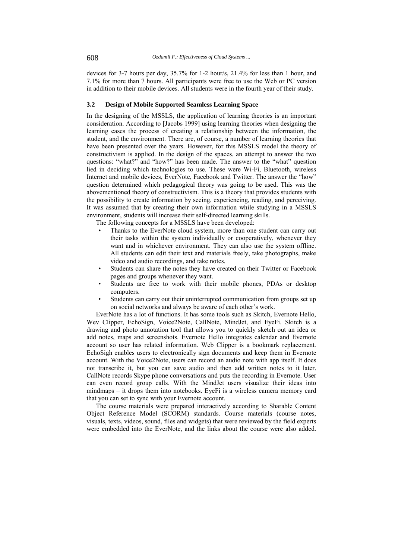devices for 3-7 hours per day, 35.7% for 1-2 hour/s, 21.4% for less than 1 hour, and 7.1% for more than 7 hours. All participants were free to use the Web or PC version in addition to their mobile devices. All students were in the fourth year of their study.

#### **3.2 Design of Mobile Supported Seamless Learning Space**

In the designing of the MSSLS, the application of learning theories is an important consideration. According to [Jacobs 1999] using learning theories when designing the learning eases the process of creating a relationship between the information, the student, and the environment. There are, of course, a number of learning theories that have been presented over the years. However, for this MSSLS model the theory of constructivism is applied. In the design of the spaces, an attempt to answer the two questions: "what?" and "how?" has been made. The answer to the "what" question lied in deciding which technologies to use. These were Wi-Fi, Bluetooth, wireless Internet and mobile devices, EverNote, Facebook and Twitter. The answer the "how" question determined which pedagogical theory was going to be used. This was the abovementioned theory of constructivism. This is a theory that provides students with the possibility to create information by seeing, experiencing, reading, and perceiving. It was assumed that by creating their own information while studying in a MSSLS environment, students will increase their self-directed learning skills.

The following concepts for a MSSLS have been developed:

- Thanks to the EverNote cloud system, more than one student can carry out their tasks within the system individually or cooperatively, whenever they want and in whichever environment. They can also use the system offline. All students can edit their text and materials freely, take photographs, make video and audio recordings, and take notes.
- Students can share the notes they have created on their Twitter or Facebook pages and groups whenever they want.
- Students are free to work with their mobile phones, PDAs or desktop computers.
- Students can carry out their uninterrupted communication from groups set up on social networks and always be aware of each other's work.

EverNote has a lot of functions. It has some tools such as Skitch, Evernote Hello, Wev Clipper, EchoSign, Voice2Note, CallNote, MindJet, and EyeFi. Skitch is a drawing and photo annotation tool that allows you to quickly sketch out an idea or add notes, maps and screenshots. Evernote Hello integrates calendar and Evernote account so user has related information. Web Clipper is a bookmark replacement. EchoSigh enables users to electronically sign documents and keep them in Evernote account. With the Voice2Note, users can record an audio note with app itself. It does not transcribe it, but you can save audio and then add written notes to it later. CallNote records Skype phone conversations and puts the recording in Evernote. User can even record group calls. With the MindJet users visualize their ideas into mindmaps – it drops them into notebooks. EyeFi is a wireless camera memory card that you can set to sync with your Evernote account.

The course materials were prepared interactively according to Sharable Content Object Reference Model (SCORM) standards. Course materials (course notes, visuals, texts, videos, sound, files and widgets) that were reviewed by the field experts were embedded into the EverNote, and the links about the course were also added.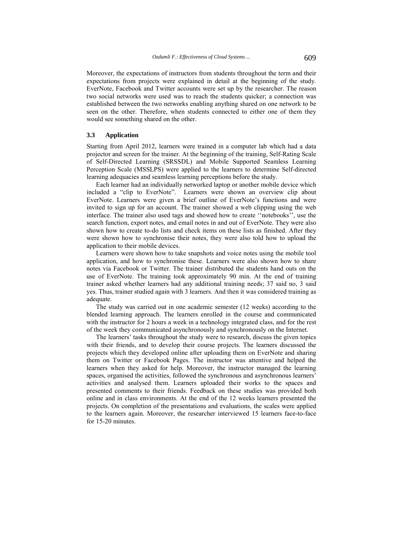Moreover, the expectations of instructors from students throughout the term and their expectations from projects were explained in detail at the beginning of the study. EverNote, Facebook and Twitter accounts were set up by the researcher. The reason two social networks were used was to reach the students quicker; a connection was established between the two networks enabling anything shared on one network to be seen on the other. Therefore, when students connected to either one of them they would see something shared on the other.

#### **3.3 Application**

Starting from April 2012, learners were trained in a computer lab which had a data projector and screen for the trainer. At the beginning of the training, Self-Rating Scale of Self-Directed Learning (SRSSDL) and Mobile Supported Seamless Learning Perception Scale (MSSLPS) were applied to the learners to determine Self-directed learning adequacies and seamless learning perceptions before the study.

Each learner had an individually networked laptop or another mobile device which included a "clip to EverNote". Learners were shown an overview clip about EverNote. Learners were given a brief outline of EverNote's functions and were invited to sign up for an account. The trainer showed a web clipping using the web interface. The trainer also used tags and showed how to create ''notebooks'', use the search function, export notes, and email notes in and out of EverNote. They were also shown how to create to-do lists and check items on these lists as finished. After they were shown how to synchronise their notes, they were also told how to upload the application to their mobile devices.

Learners were shown how to take snapshots and voice notes using the mobile tool application, and how to synchronise these. Learners were also shown how to share notes via Facebook or Twitter. The trainer distributed the students hand outs on the use of EverNote. The training took approximately 90 min. At the end of training trainer asked whether learners had any additional training needs; 37 said no, 3 said yes. Thus, trainer studied again with 3 learners. And then it was considered training as adequate.

The study was carried out in one academic semester (12 weeks) according to the blended learning approach. The learners enrolled in the course and communicated with the instructor for 2 hours a week in a technology integrated class, and for the rest of the week they communicated asynchronously and synchronously on the Internet.

The learners' tasks throughout the study were to research, discuss the given topics with their friends, and to develop their course projects. The learners discussed the projects which they developed online after uploading them on EverNote and sharing them on Twitter or Facebook Pages. The instructor was attentive and helped the learners when they asked for help. Moreover, the instructor managed the learning spaces, organised the activities, followed the synchronous and asynchronous learners' activities and analysed them. Learners uploaded their works to the spaces and presented comments to their friends. Feedback on these studies was provided both online and in class environments. At the end of the 12 weeks learners presented the projects. On completion of the presentations and evaluations, the scales were applied to the learners again. Moreover, the researcher interviewed 15 learners face-to-face for 15-20 minutes.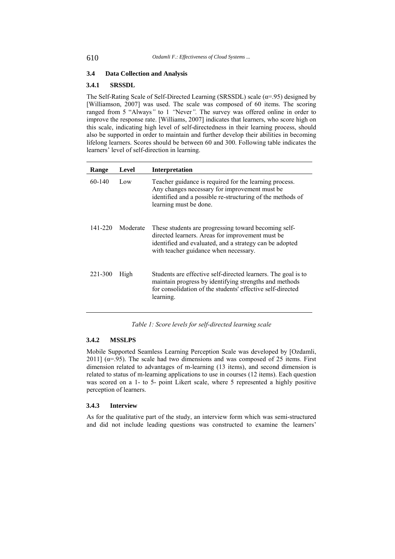# **3.4 Data Collection and Analysis**

# **3.4.1 SRSSDL**

The Self-Rating Scale of Self-Directed Learning (SRSSDL) scale ( $\alpha$ =.95) designed by [Williamson, 2007] was used. The scale was composed of 60 items. The scoring ranged from 5 "Always*"* to 1 *"*Never*".* The survey was offered online in order to improve the response rate. [Williams, 2007] indicates that learners, who score high on this scale, indicating high level of self-directedness in their learning process, should also be supported in order to maintain and further develop their abilities in becoming lifelong learners. Scores should be between 60 and 300. Following table indicates the learners' level of self-direction in learning.

| Range   | Level    | Interpretation                                                                                                                                                                                               |
|---------|----------|--------------------------------------------------------------------------------------------------------------------------------------------------------------------------------------------------------------|
| 60-140  | Low      | Teacher guidance is required for the learning process.<br>Any changes necessary for improvement must be<br>identified and a possible re-structuring of the methods of<br>learning must be done.              |
| 141-220 | Moderate | These students are progressing toward becoming self-<br>directed learners. Areas for improvement must be<br>identified and evaluated, and a strategy can be adopted<br>with teacher guidance when necessary. |
| 221-300 | High     | Students are effective self-directed learners. The goal is to<br>maintain progress by identifying strengths and methods<br>for consolidation of the students' effective self-directed<br>learning.           |

*Table 1: Score levels for self-directed learning scale* 

#### **3.4.2 MSSLPS**

Mobile Supported Seamless Learning Perception Scale was developed by [Ozdamli, 2011] ( $\alpha$ =.95). The scale had two dimensions and was composed of 25 items. First dimension related to advantages of m-learning (13 items), and second dimension is related to status of m-learning applications to use in courses (12 items). Each question was scored on a 1- to 5- point Likert scale, where 5 represented a highly positive perception of learners.

# **3.4.3 Interview**

As for the qualitative part of the study, an interview form which was semi-structured and did not include leading questions was constructed to examine the learners'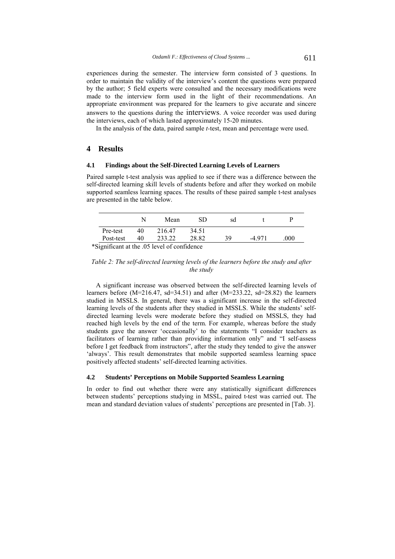experiences during the semester. The interview form consisted of 3 questions. In order to maintain the validity of the interview's content the questions were prepared by the author; 5 field experts were consulted and the necessary modifications were made to the interview form used in the light of their recommendations. An appropriate environment was prepared for the learners to give accurate and sincere answers to the questions during the interviews. A voice recorder was used during the interviews, each of which lasted approximately 15-20 minutes.

In the analysis of the data, paired sample *t-*test, mean and percentage were used.

## **4 Results**

#### **4.1 Findings about the Self-Directed Learning Levels of Learners**

Paired sample t-test analysis was applied to see if there was a difference between the self-directed learning skill levels of students before and after they worked on mobile supported seamless learning spaces. The results of these paired sample t-test analyses are presented in the table below.

|                                           |           |    | Mean   | SD    | sd |        |      |
|-------------------------------------------|-----------|----|--------|-------|----|--------|------|
|                                           | Pre-test  | 40 | 216.47 | 34.51 |    |        |      |
|                                           | Post-test | 40 | 233.22 | 28.82 | 39 | -4 971 | .000 |
| Significant at the 05 level of confidence |           |    |        |       |    |        |      |

\*Significant at the .05 level of confidence

## *Table 2: The self-directed learning levels of the learners before the study and after the study*

A significant increase was observed between the self-directed learning levels of learners before  $(M=216.47, sd=34.51)$  and after  $(M=233.22, sd=28.82)$  the learners studied in MSSLS. In general, there was a significant increase in the self-directed learning levels of the students after they studied in MSSLS. While the students' selfdirected learning levels were moderate before they studied on MSSLS, they had reached high levels by the end of the term. For example, whereas before the study students gave the answer 'occasionally' to the statements "I consider teachers as facilitators of learning rather than providing information only" and "I self-assess before I get feedback from instructors", after the study they tended to give the answer 'always'. This result demonstrates that mobile supported seamless learning space positively affected students' self-directed learning activities.

# **4.2 Students' Perceptions on Mobile Supported Seamless Learning**

In order to find out whether there were any statistically significant differences between students' perceptions studying in MSSL, paired t-test was carried out. The mean and standard deviation values of students' perceptions are presented in [Tab. 3].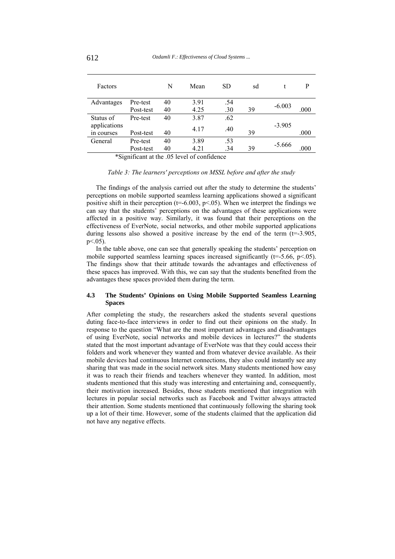| Factors      |           | N  | Mean | <b>SD</b> | sd |          | P    |
|--------------|-----------|----|------|-----------|----|----------|------|
| Advantages   | Pre-test  | 40 | 3.91 | .54       |    |          |      |
|              | Post-test | 40 | 4.25 | .30       | 39 | $-6.003$ | .000 |
| Status of    | Pre-test  | 40 | 3.87 | .62       |    |          |      |
| applications |           |    | 4.17 | .40       |    | $-3.905$ |      |
| in courses   | Post-test | 40 |      |           | 39 |          | .000 |
| General      | Pre-test  | 40 | 3.89 | .53       |    | $-5.666$ |      |
|              | Post-test | 40 | 4.21 | .34       | 39 |          | .000 |

\*Significant at the .05 level of confidence

## *Table 3: The learners' perceptions on MSSL before and after the study*

The findings of the analysis carried out after the study to determine the students' perceptions on mobile supported seamless learning applications showed a significant positive shift in their perception ( $t=6.003$ ,  $p<0.05$ ). When we interpret the findings we can say that the students' perceptions on the advantages of these applications were affected in a positive way. Similarly, it was found that their perceptions on the effectiveness of EverNote, social networks, and other mobile supported applications during lessons also showed a positive increase by the end of the term  $(t=3.905,$  $p < .05$ ).

In the table above, one can see that generally speaking the students' perception on mobile supported seamless learning spaces increased significantly  $(t=5.66, p<.05)$ . The findings show that their attitude towards the advantages and effectiveness of these spaces has improved. With this, we can say that the students benefited from the advantages these spaces provided them during the term.

# **4.3 The Students' Opinions on Using Mobile Supported Seamless Learning Spaces**

After completing the study, the researchers asked the students several questions duting face-to-face interviews in order to find out their opinions on the study. In response to the question "What are the most important advantages and disadvantages of using EverNote, social networks and mobile devices in lectures?" the students stated that the most important advantage of EverNote was that they could access their folders and work whenever they wanted and from whatever device available. As their mobile devices had continuous Internet connections, they also could instantly see any sharing that was made in the social network sites. Many students mentioned how easy it was to reach their friends and teachers whenever they wanted. In addition, most students mentioned that this study was interesting and entertaining and, consequently, their motivation increased. Besides, those students mentioned that integration with lectures in popular social networks such as Facebook and Twitter always attracted their attention. Some students mentioned that continuously following the sharing took up a lot of their time. However, some of the students claimed that the application did not have any negative effects.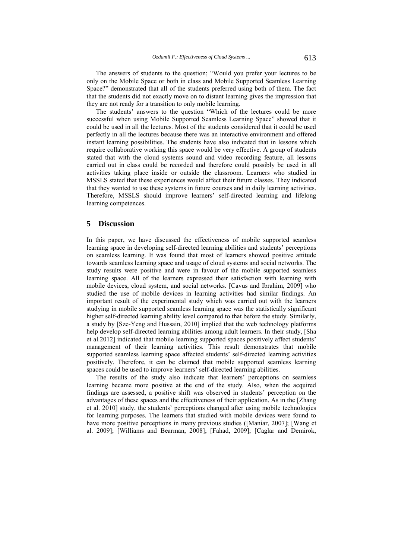The answers of students to the question; "Would you prefer your lectures to be only on the Mobile Space or both in class and Mobile Supported Seamless Learning Space?" demonstrated that all of the students preferred using both of them. The fact that the students did not exactly move on to distant learning gives the impression that they are not ready for a transition to only mobile learning.

The students' answers to the question "Which of the lectures could be more successful when using Mobile Supported Seamless Learning Space" showed that it could be used in all the lectures. Most of the students considered that it could be used perfectly in all the lectures because there was an interactive environment and offered instant learning possibilities. The students have also indicated that in lessons which require collaborative working this space would be very effective. A group of students stated that with the cloud systems sound and video recording feature, all lessons carried out in class could be recorded and therefore could possibly be used in all activities taking place inside or outside the classroom. Learners who studied in MSSLS stated that these experiences would affect their future classes. They indicated that they wanted to use these systems in future courses and in daily learning activities. Therefore, MSSLS should improve learners' self-directed learning and lifelong learning competences.

# **5 Discussion**

In this paper, we have discussed the effectiveness of mobile supported seamless learning space in developing self-directed learning abilities and students' perceptions on seamless learning. It was found that most of learners showed positive attitude towards seamless learning space and usage of cloud systems and social networks. The study results were positive and were in favour of the mobile supported seamless learning space. All of the learners expressed their satisfaction with learning with mobile devices, cloud system, and social networks. [Cavus and Ibrahim, 2009] who studied the use of mobile devices in learning activities had similar findings. An important result of the experimental study which was carried out with the learners studying in mobile supported seamless learning space was the statistically significant higher self-directed learning ability level compared to that before the study. Similarly, a study by [Sze-Yeng and Hussain, 2010] implied that the web technology platforms help develop self-directed learning abilities among adult learners. In their study, [Sha et al.2012] indicated that mobile learning supported spaces positively affect students' management of their learning activities. This result demonstrates that mobile supported seamless learning space affected students' self-directed learning activities positively. Therefore, it can be claimed that mobile supported seamless learning spaces could be used to improve learners' self-directed learning abilities.

The results of the study also indicate that learners' perceptions on seamless learning became more positive at the end of the study. Also, when the acquired findings are assessed, a positive shift was observed in students' perception on the advantages of these spaces and the effectiveness of their application. As in the [Zhang et al. 2010] study, the students' perceptions changed after using mobile technologies for learning purposes. The learners that studied with mobile devices were found to have more positive perceptions in many previous studies ([Maniar, 2007]; [Wang et al. 2009]; [Williams and Bearman, 2008]; [Fahad, 2009]; [Caglar and Demirok,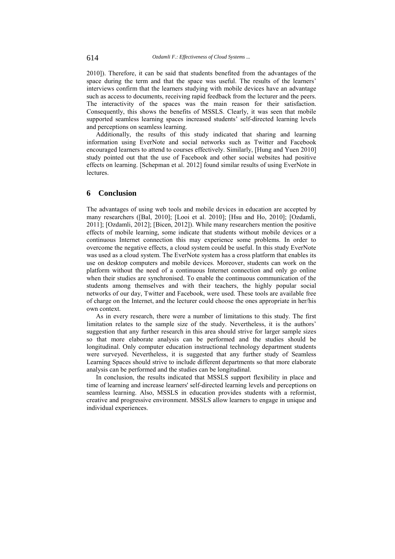2010]). Therefore, it can be said that students benefited from the advantages of the space during the term and that the space was useful. The results of the learners' interviews confirm that the learners studying with mobile devices have an advantage such as access to documents, receiving rapid feedback from the lecturer and the peers. The interactivity of the spaces was the main reason for their satisfaction. Consequently, this shows the benefits of MSSLS. Clearly, it was seen that mobile supported seamless learning spaces increased students' self-directed learning levels and perceptions on seamless learning.

Additionally, the results of this study indicated that sharing and learning information using EverNote and social networks such as Twitter and Facebook encouraged learners to attend to courses effectively. Similarly, [Hung and Yuen 2010] study pointed out that the use of Facebook and other social websites had positive effects on learning. [Schepman et al. 2012] found similar results of using EverNote in **lectures** 

# **6 Conclusion**

The advantages of using web tools and mobile devices in education are accepted by many researchers ([Bal, 2010]; [Looi et al. 2010]; [Hsu and Ho, 2010]; [Ozdamli, 2011]; [Ozdamli, 2012]; [Bicen, 2012]). While many researchers mention the positive effects of mobile learning, some indicate that students without mobile devices or a continuous Internet connection this may experience some problems. In order to overcome the negative effects, a cloud system could be useful. In this study EverNote was used as a cloud system. The EverNote system has a cross platform that enables its use on desktop computers and mobile devices. Moreover, students can work on the platform without the need of a continuous Internet connection and only go online when their studies are synchronised. To enable the continuous communication of the students among themselves and with their teachers, the highly popular social networks of our day, Twitter and Facebook, were used. These tools are available free of charge on the Internet, and the lecturer could choose the ones appropriate in her/his own context.

As in every research, there were a number of limitations to this study. The first limitation relates to the sample size of the study. Nevertheless, it is the authors' suggestion that any further research in this area should strive for larger sample sizes so that more elaborate analysis can be performed and the studies should be longitudinal. Only computer education instructional technology department students were surveyed. Nevertheless, it is suggested that any further study of Seamless Learning Spaces should strive to include different departments so that more elaborate analysis can be performed and the studies can be longitudinal.

In conclusion, the results indicated that MSSLS support flexibility in place and time of learning and increase learners' self-directed learning levels and perceptions on seamless learning. Also, MSSLS in education provides students with a reformist, creative and progressive environment. MSSLS allow learners to engage in unique and individual experiences.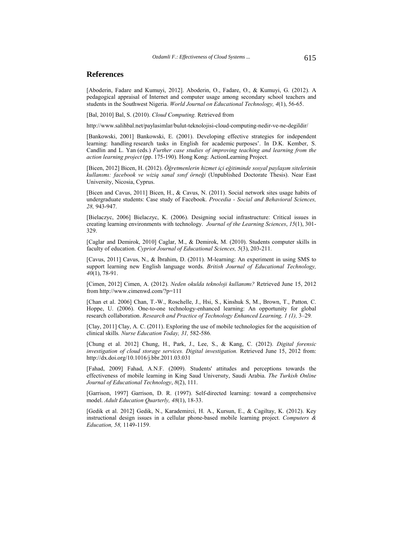## **References**

[Aboderin, Fadare and Kumuyi, 2012]. Aboderin, O., Fadare, O., & Kumuyi, G. (2012). A pedagogical appraisal of Internet and computer usage among secondary school teachers and students in the Southwest Nigeria. *World Journal on Educational Technology, 4*(1), 56-65.

[Bal, 2010] Bal, S. (2010). *Cloud Computing.* Retrieved from

http://www.salihbal.net/paylasimlar/bulut-teknolojisi-cloud-computing-nedir-ve-ne-degildir/

[Bankowski, 2001] Bankowski, E. (2001). Developing effective strategies for independent learning: handling research tasks in English for academic purposes'. In D.K. Kember, S. Candlin and L. Yan (eds.) *Further case studies of improving teaching and learning from the action learning project* (pp. 175-190)*.* Hong Kong: ActionLearning Project.

[Bicen, 2012] Bicen, H. (2012). *Öğretmenlerin hizmet içi eğitiminde sosyal paylaşım sitelerinin kullanımı: facebook ve wiziq sanal sınıf örneği* (Unpublished Doctorate Thesis). Near East University, Nicosia, Cyprus.

[Bicen and Cavus, 2011] Bicen, H., & Cavus, N. (2011). Social network sites usage habits of undergraduate students: Case study of Facebook. *Procedia - Social and Behavioral Sciences, 28,* 943-947.

[Bielaczyc, 2006] Bielaczyc, K. (2006). Designing social infrastructure: Critical issues in creating learning environments with technology. *Journal of the Learning Sciences*, *15*(1), 301- 329.

[Caglar and Demirok, 2010] Caglar, M., & Demirok, M. (2010). Students computer skills in faculty of education. *Cypriot Journal of Educational Sciences, 5*(3), 203-211.

[Cavus, 2011] Cavus, N., & İbrahim, D. (2011). M-learning: An experiment in using SMS to support learning new English language words. *British Journal of Educational Technology, 40*(1), 78-91.

[Cimen, 2012] Cimen, A. (2012). *Neden okulda teknoloji kullanımı?* Retrieved June 15, 2012 from http://www.cimenwd.com/?p=111

[Chan et al. 2006] Chan, T.-W., Roschelle, J., Hsi, S., Kinshuk S, M., Brown, T., Patton*,* C. Hoppe, U. (2006). One-to-one technology-enhanced learning: An opportunity for global research collaboration. *Research and Practice of Technology Enhanced Learning, 1 (1), 3–29.* 

[Clay, 2011] Clay, A. C. (2011). Exploring the use of mobile technologies for the acquisition of clinical skills*. Nurse Education Today, 31,* 582-586*.*

[Chung et al. 2012] Chung, H., Park, J., Lee, S., & Kang, C. (2012). *Digital forensic investigation of cloud storage services. Digital investigation.* Retrieved June 15, 2012 from: http://dx.doi.org/10.1016/j.bbr.2011.03.031

[Fahad, 2009] Fahad, A.N.F. (2009). Students' attitudes and perceptions towards the effectiveness of mobile learning in King Saud Universıty, Saudi Arabia. *The Turkish Online Journal of Educational Technology*, *8*(2), 111.

[Garrison, 1997] Garrison, D. R. (1997). Self-directed learning: toward a comprehensive model. *Adult Education Quarterly, 48*(1), 18-33.

[Gedik et al. 2012] Gedik, N., Karademirci, H. A., Kursun, E., & Cagiltay, K. (2012). Key instructional design issues in a cellular phone-based mobile learning project. *Computers & Education, 58,* 1149-1159.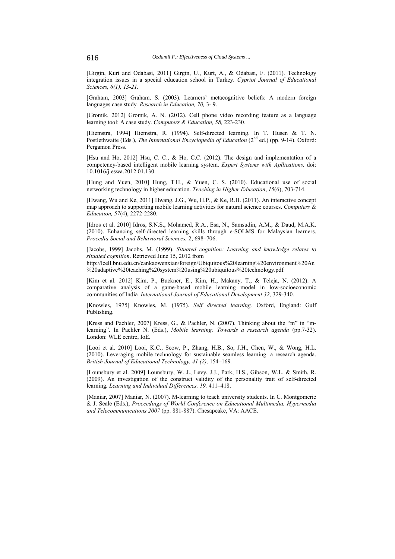[Girgin, Kurt and Odabasi, 2011] Girgin, U., Kurt, A., & Odabasi, F. (2011). Technology integration issues in a special education school in Turkey. *Cypriot Journal of Educational Sciences, 6(1), 13-21.*

[Graham, 2003] Graham, S. (2003). Learners' metacognitive beliefs: A modern foreign languages case study*. Research in Education, 70,* 3- 9.

[Gromik, 2012] Gromik, A. N. (2012). Cell phone video recording feature as a language learning tool: A case study. *Computers & Education, 58,* 223-230*.* 

[Hiemstra, 1994] Hiemstra, R. (1994). Self-directed learning. In T. Husen & T. N. Postlethwaite (Eds.), *The International Encyclopedia of Education* (2<sup>nd</sup> ed.) (pp. 9-14). Oxford: Pergamon Press.

[Hsu and Ho, 2012] Hsu, C. C., & Ho, C.C. (2012). The design and implementation of a competency-based intelligent mobile learning system. *Expert Systems with Apllications.* doi: 10.1016/j.eswa.2012.01.130.

[Hung and Yuen, 2010] Hung, T.H., & Yuen, C. S. (2010). Educational use of social networking technology in higher education. *Teaching in Higher Education*, *15*(6), 703-714.

[Hwang, Wu and Ke, 2011] Hwang, J.G., Wu, H.P., & Ke, R.H. (2011). An interactive concept map approach to supporting mobile learning activities for natural science courses. *Computers & Education, 57*(4), 2272-2280.

[Idros et al. 2010] Idros, S.N.S., Mohamed, R.A., Esa, N., Samsudin, A.M., & Daud, M.A.K. (2010). Enhancing self-directed learning skills through e-SOLMS for Malaysian learners. *Procedia Social and Behavioral Sciences,* 2, 698–706.

[Jacobs, 1999] Jacobs, M. (1999). *Situated cognition: Learning and knowledge relates to situated cognition*. Retrieved June 15, 2012 from http://lcell.bnu.edu.cn/cankaowenxian/foreign/Ubiquitous%20learning%20environment%20An

%20adaptive%20teaching%20system%20using%20ubiquitous%20technology.pdf

[Kim et al. 2012] Kim, P., Buckner, E., Kim, H., Makany, T., & Teleja, N. (2012). A comparative analysis of a game-based mobile learning model in low-socioeconomic communities of India*. International Journal of Educational Development 32,* 329-340.

[Knowles, 1975] Knowles, M. (1975). *Self directed learning.* Oxford, England: Gulf Publishing.

[Kress and Pachler, 2007] Kress, G., & Pachler, N. (2007). Thinking about the "m" in "mlearning". In Pachler N. (Eds.), *Mobile learning: Towards a research agenda* (pp.7-32). London: WLE centre, IoE*.*

[Looi et al. 2010] Looi, K.C., Seow, P., Zhang, H.B., So, J.H., Chen, W., & Wong, H.L. (2010). Leveraging mobile technology for sustainable seamless learning: a research agenda. *British Journal of Educational Technology, 41 (2),* 154–169*.*

[Lounsbury et al. 2009] Lounsbury, W. J., Levy, J.J., Park, H.S., Gibson, W.L. & Smith, R. (2009). An investigation of the construct validity of the personality trait of self-directed learning*. Learning and Individual Differences, 19,* 411–418.

[Maniar, 2007] Maniar, N. (2007). M-learning to teach university students. In C. Montgomerie & J. Seale (Eds.), *Proceedings of World Conference on Educational Multimedia, Hypermedia and Telecommunications 2007* (pp. 881-887). Chesapeake, VA: AACE.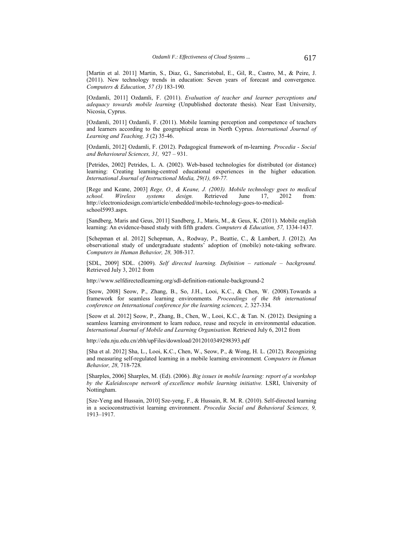[Martin et al. 2011] Martin, S., Diaz, G., Sancristobal, E., Gil, R., Castro, M., & Peire, J. (2011). New technology trends in education: Seven years of forecast and convergence*. Computers & Education, 57 (3)* 183-190*.*

[Ozdamli, 2011] Ozdamli, F. (2011). *Evaluation of teacher and learner perceptions and adequacy towards mobile learning* (Unpublished doctorate thesis). Near East University, Nicosia, Cyprus.

[Ozdamli, 2011] Ozdamli, F. (2011). Mobile learning perception and competence of teachers and learners according to the geographical areas in North Cyprus. *International Journal of Learning and Teaching, 3* (2) 35-46.

[Ozdamli, 2012] Ozdamli, F. (2012). Pedagogical framework of m-learning*. Procedia - Social and Behavioural Sciences, 31,* 927 – 931.

[Petrides, 2002] Petrides, L. A. (2002). Web-based technologies for distributed (or distance) learning: Creating learning-centred educational experiences in the higher education*. International Journal of Instructional Media, 29(1), 69-77.* 

[Rege and Keane, 2003] *Rege, O., & Keane, J. (2003). Mobile technology goes to medical school. Wireless systems design.* Retrieved June 17, 2012 from*:*  http://electronicdesign.com/article/embedded/mobile-technology-goes-to-medicalschool5993.aspx*.*

[Sandberg, Maris and Geus, 2011] Sandberg, J., Maris, M., & Geus, K. (2011). Mobile english learning: An evidence-based study with fifth graders. *Computers & Education, 57,* 1334-1437*.*

[Schepman et al. 2012] Schepman, A., Rodway, P., Beattie, C., & Lambert, J. (2012). An observational study of undergraduate students' adoption of (mobile) note-taking software. *Computers in Human Behavior, 28,* 308-317*.*

[SDL, 2009] SDL. (2009). *Self directed learning. Definition – rationale – background.*  Retrieved July 3, 2012 from

http://www.selfdirectedlearning.org/sdl-definition-rationale-background-2

[Seow, 2008] Seow, P., Zhang, B., So, J.H., Looi, K.C., & Chen, W. (2008).Towards a framework for seamless learning environments*. Proceedings of the 8th international conference on International conference for the learning sciences, 2,* 327-334*.*

[Seow et al. 2012] Seow, P., Zhang, B., Chen, W., Looi, K.C., & Tan. N. (2012). Designing a seamless learning environment to learn reduce, reuse and recycle in environmental education. *International Journal of Mobile and Learning Organisation.* Retrieved July 6, 2012 from

http://edu.nju.edu.cn/zbh/upFiles/download/2012010349298393.pdf

[Sha et al. 2012] Sha, L., Looi, K.C., Chen, W., Seow, P., & Wong, H. L. (2012). Recognizing and measuring self-regulated learning in a mobile learning environment*. Computers in Human Behavior, 28,* 718-728*.*

[Sharples, 2006] Sharples, M. (Ed). (2006). *Big issues in mobile learning: report of a workshop by the Kaleidoscope network of excellence mobile learning initiative.* LSRI, University of Nottingham.

[Sze-Yeng and Hussain, 2010] Sze-yeng, F., & Hussain, R. M. R. (2010). Self-directed learning in a socioconstructivist learning environment. *Procedia Social and Behavioral Sciences, 9,*  1913–1917.